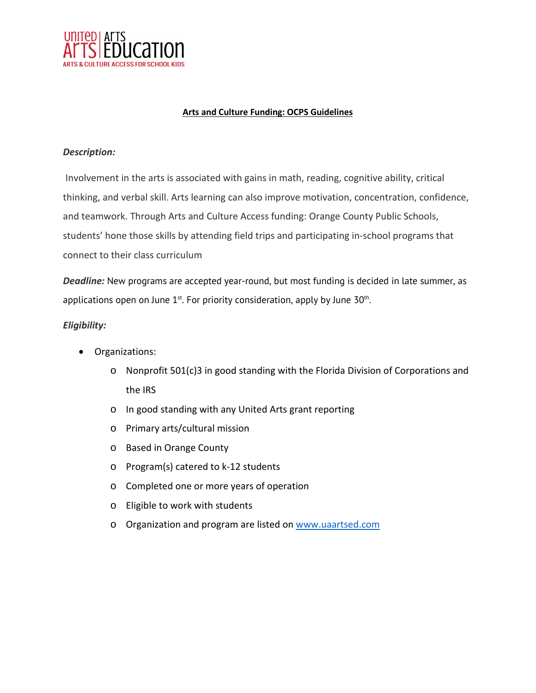

## **Arts and Culture Funding: OCPS Guidelines**

## *Description:*

Involvement in the arts is associated with gains in math, reading, cognitive ability, critical thinking, and verbal skill. Arts learning can also improve motivation, concentration, confidence, and teamwork. Through Arts and Culture Access funding: Orange County Public Schools, students' hone those skills by attending field trips and participating in-school programs that connect to their class curriculum

*Deadline:* New programs are accepted year-round, but most funding is decided in late summer, as applications open on June  $1^{st}$ . For priority consideration, apply by June  $30^{th}$ .

# *Eligibility:*

- Organizations:
	- o Nonprofit 501(c)3 in good standing with the Florida Division of Corporations and the IRS
	- o In good standing with any United Arts grant reporting
	- o Primary arts/cultural mission
	- o Based in Orange County
	- o Program(s) catered to k-12 students
	- o Completed one or more years of operation
	- o Eligible to work with students
	- o Organization and program are listed on [www.uaartsed.com](http://www.uaartsed.com/)